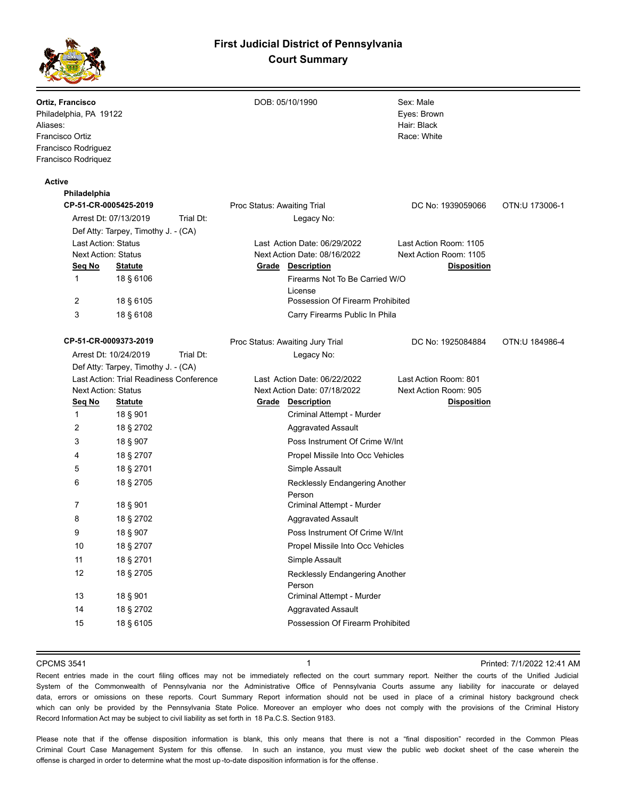

| Ortiz, Francisco<br>Philadelphia, PA 19122<br>Aliases:<br>Francisco Ortiz<br>Francisco Rodriguez<br>Francisco Rodriquez |                                         |                             | DOB: 05/10/1990                           | Sex: Male<br>Eyes: Brown<br>Hair: Black<br>Race: White |                |
|-------------------------------------------------------------------------------------------------------------------------|-----------------------------------------|-----------------------------|-------------------------------------------|--------------------------------------------------------|----------------|
| <b>Active</b>                                                                                                           |                                         |                             |                                           |                                                        |                |
| Philadelphia                                                                                                            |                                         |                             |                                           |                                                        |                |
| CP-51-CR-0005425-2019                                                                                                   |                                         | Proc Status: Awaiting Trial |                                           | DC No: 1939059066                                      | OTN:U 173006-1 |
|                                                                                                                         | Trial Dt:<br>Arrest Dt: 07/13/2019      |                             | Legacy No:                                |                                                        |                |
|                                                                                                                         | Def Atty: Tarpey, Timothy J. - (CA)     |                             |                                           |                                                        |                |
| <b>Last Action: Status</b>                                                                                              |                                         |                             | Last Action Date: 06/29/2022              | Last Action Room: 1105                                 |                |
| <b>Next Action: Status</b>                                                                                              |                                         |                             | Next Action Date: 08/16/2022              | Next Action Room: 1105                                 |                |
| Seg No                                                                                                                  | <b>Statute</b>                          |                             | <b>Grade Description</b>                  | <b>Disposition</b>                                     |                |
| 1                                                                                                                       | 18 § 6106                               |                             | Firearms Not To Be Carried W/O<br>License |                                                        |                |
| 2                                                                                                                       | 18 § 6105                               |                             | Possession Of Firearm Prohibited          |                                                        |                |
| 3                                                                                                                       | 18 § 6108                               |                             | Carry Firearms Public In Phila            |                                                        |                |
| CP-51-CR-0009373-2019                                                                                                   |                                         |                             | Proc Status: Awaiting Jury Trial          | DC No: 1925084884                                      | OTN:U 184986-4 |
|                                                                                                                         | Arrest Dt: 10/24/2019<br>Trial Dt:      |                             | Legacy No:                                |                                                        |                |
|                                                                                                                         | Def Atty: Tarpey, Timothy J. - (CA)     |                             |                                           |                                                        |                |
|                                                                                                                         | Last Action: Trial Readiness Conference |                             | Last Action Date: 06/22/2022              | Last Action Room: 801                                  |                |
| <b>Next Action: Status</b>                                                                                              |                                         |                             | Next Action Date: 07/18/2022              | Next Action Room: 905                                  |                |
| Seq No                                                                                                                  | <u>Statute</u>                          |                             | <b>Grade Description</b>                  | <b>Disposition</b>                                     |                |
| 1                                                                                                                       | 18 § 901                                |                             | Criminal Attempt - Murder                 |                                                        |                |
| 2                                                                                                                       | 18 § 2702                               |                             | <b>Aggravated Assault</b>                 |                                                        |                |
| 3                                                                                                                       | 18 § 907                                |                             | Poss Instrument Of Crime W/Int            |                                                        |                |
| 4                                                                                                                       | 18 § 2707                               |                             | Propel Missile Into Occ Vehicles          |                                                        |                |
| 5                                                                                                                       | 18 § 2701                               |                             | Simple Assault                            |                                                        |                |
| 6                                                                                                                       | 18 § 2705                               |                             | Recklessly Endangering Another<br>Person  |                                                        |                |
| 7                                                                                                                       | 18 § 901                                |                             | Criminal Attempt - Murder                 |                                                        |                |
| 8                                                                                                                       | 18 § 2702                               |                             | <b>Aggravated Assault</b>                 |                                                        |                |
| 9                                                                                                                       | 18 § 907                                |                             | Poss Instrument Of Crime W/Int            |                                                        |                |
| 10                                                                                                                      | 18 § 2707                               |                             | Propel Missile Into Occ Vehicles          |                                                        |                |
| 11                                                                                                                      | 18 § 2701                               |                             | Simple Assault                            |                                                        |                |
| 12                                                                                                                      | 18 § 2705                               |                             | Recklessly Endangering Another            |                                                        |                |
|                                                                                                                         |                                         |                             | Person                                    |                                                        |                |
| 13                                                                                                                      | 18 § 901                                |                             | Criminal Attempt - Murder                 |                                                        |                |
| 14                                                                                                                      | 18 § 2702                               |                             | <b>Aggravated Assault</b>                 |                                                        |                |
| 15                                                                                                                      | 18 § 6105                               |                             | Possession Of Firearm Prohibited          |                                                        |                |
|                                                                                                                         |                                         |                             |                                           |                                                        |                |

CPCMS 3541 **1 1 1 1 1 1 1 1 Printed: 7/1/2022 12:41 AM** 

Recent entries made in the court filing offices may not be immediately reflected on the court summary report. Neither the courts of the Unified Judicial System of the Commonwealth of Pennsylvania nor the Administrative Office of Pennsylvania Courts assume any liability for inaccurate or delayed data, errors or omissions on these reports. Court Summary Report information should not be used in place of a criminal history background check which can only be provided by the Pennsylvania State Police. Moreover an employer who does not comply with the provisions of the Criminal History Record Information Act may be subject to civil liability as set forth in 18 Pa.C.S. Section 9183.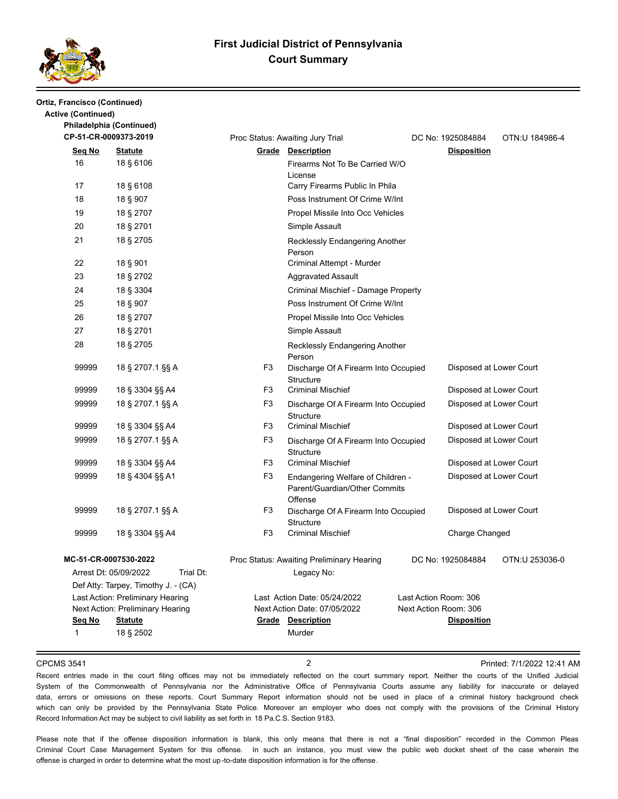

### **Ortiz, Francisco (Continued) Active (Continued) Philadelphia (Continued)**

| CP-51-CR-0009373-2019 |                                                                           |                | Proc Status: Awaiting Jury Trial                                              |                       | DC No: 1925084884       | OTN:U 184986-4 |
|-----------------------|---------------------------------------------------------------------------|----------------|-------------------------------------------------------------------------------|-----------------------|-------------------------|----------------|
| Seg No                | <b>Statute</b>                                                            |                | <b>Grade Description</b>                                                      |                       | <b>Disposition</b>      |                |
| 16                    | 18 § 6106                                                                 |                | Firearms Not To Be Carried W/O<br>License                                     |                       |                         |                |
| 17                    | 18 § 6108                                                                 |                | Carry Firearms Public In Phila                                                |                       |                         |                |
| 18                    | 18 § 907                                                                  |                | Poss Instrument Of Crime W/Int                                                |                       |                         |                |
| 19                    | 18 § 2707                                                                 |                | Propel Missile Into Occ Vehicles                                              |                       |                         |                |
| 20                    | 18 § 2701                                                                 |                | Simple Assault                                                                |                       |                         |                |
| 21                    | 18 § 2705                                                                 |                | Recklessly Endangering Another<br>Person                                      |                       |                         |                |
| 22                    | 18 § 901                                                                  |                | Criminal Attempt - Murder                                                     |                       |                         |                |
| 23                    | 18 § 2702                                                                 |                | <b>Aggravated Assault</b>                                                     |                       |                         |                |
| 24                    | 18 § 3304                                                                 |                | Criminal Mischief - Damage Property                                           |                       |                         |                |
| 25                    | 18 § 907                                                                  |                | Poss Instrument Of Crime W/Int                                                |                       |                         |                |
| 26                    | 18 § 2707                                                                 |                | Propel Missile Into Occ Vehicles                                              |                       |                         |                |
| 27                    | 18 § 2701                                                                 |                | Simple Assault                                                                |                       |                         |                |
| 28                    | 18 § 2705                                                                 |                | Recklessly Endangering Another<br>Person                                      |                       |                         |                |
| 99999                 | 18 § 2707.1 §§ A                                                          | F <sub>3</sub> | Discharge Of A Firearm Into Occupied<br>Structure                             |                       | Disposed at Lower Court |                |
| 99999                 | 18 § 3304 §§ A4                                                           | F <sub>3</sub> | <b>Criminal Mischief</b>                                                      |                       | Disposed at Lower Court |                |
| 99999                 | 18 § 2707.1 §§ A                                                          | F <sub>3</sub> | Discharge Of A Firearm Into Occupied<br>Structure                             |                       | Disposed at Lower Court |                |
| 99999                 | 18 § 3304 §§ A4                                                           | F <sub>3</sub> | <b>Criminal Mischief</b>                                                      |                       | Disposed at Lower Court |                |
| 99999                 | 18 § 2707.1 §§ A                                                          | F <sub>3</sub> | Discharge Of A Firearm Into Occupied<br><b>Structure</b>                      |                       | Disposed at Lower Court |                |
| 99999                 | 18 § 3304 §§ A4                                                           | F <sub>3</sub> | <b>Criminal Mischief</b>                                                      |                       | Disposed at Lower Court |                |
| 99999                 | 18 § 4304 §§ A1                                                           | F <sub>3</sub> | Endangering Welfare of Children -<br>Parent/Guardian/Other Commits<br>Offense |                       | Disposed at Lower Court |                |
| 99999                 | 18 § 2707.1 §§ A                                                          | F <sub>3</sub> | Discharge Of A Firearm Into Occupied<br><b>Structure</b>                      |                       | Disposed at Lower Court |                |
| 99999                 | 18 § 3304 §§ A4                                                           | F <sub>3</sub> | <b>Criminal Mischief</b>                                                      |                       | Charge Changed          |                |
|                       | MC-51-CR-0007530-2022                                                     |                | Proc Status: Awaiting Preliminary Hearing                                     |                       | DC No: 1925084884       | OTN:U 253036-0 |
|                       | Trial Dt:<br>Arrest Dt: 05/09/2022<br>Def Atty: Tarpey, Timothy J. - (CA) |                | Legacy No:                                                                    |                       |                         |                |
|                       | Last Action: Preliminary Hearing                                          |                | Last Action Date: 05/24/2022                                                  | Last Action Room: 306 |                         |                |
|                       | Next Action: Preliminary Hearing                                          |                | Next Action Date: 07/05/2022                                                  | Next Action Room: 306 |                         |                |
| Seq No                | <b>Statute</b>                                                            |                | <b>Grade Description</b>                                                      |                       | <b>Disposition</b>      |                |
| 1                     | 18 § 2502                                                                 |                | Murder                                                                        |                       |                         |                |

CPCMS 3541 2 Printed: 7/1/2022 12:41 AM

Recent entries made in the court filing offices may not be immediately reflected on the court summary report. Neither the courts of the Unified Judicial System of the Commonwealth of Pennsylvania nor the Administrative Office of Pennsylvania Courts assume any liability for inaccurate or delayed data, errors or omissions on these reports. Court Summary Report information should not be used in place of a criminal history background check which can only be provided by the Pennsylvania State Police. Moreover an employer who does not comply with the provisions of the Criminal History Record Information Act may be subject to civil liability as set forth in 18 Pa.C.S. Section 9183.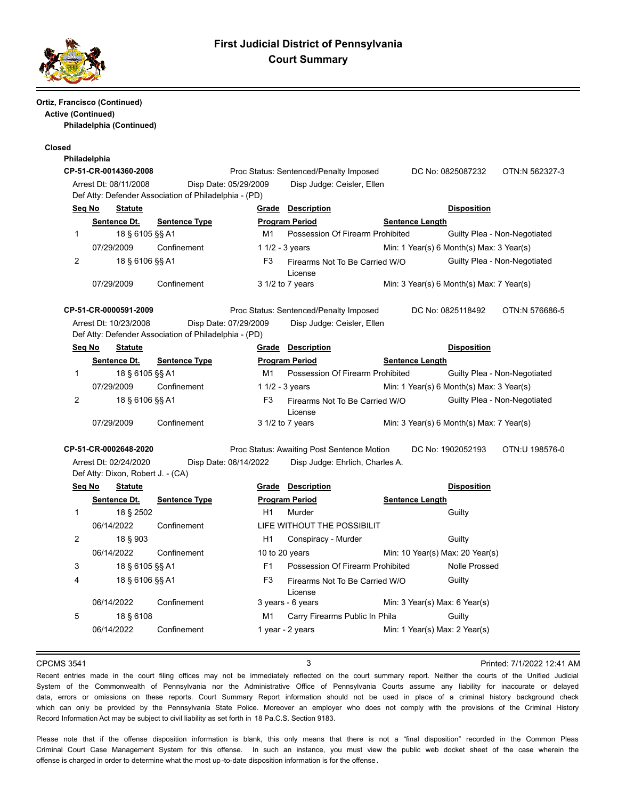

### **Ortiz, Francisco (Continued) Active (Continued)**

**Philadelphia (Continued)**

### **Closed**

| Philadelphia |                       |                                                                                |                   |                                        |                                  |                                          |                              |
|--------------|-----------------------|--------------------------------------------------------------------------------|-------------------|----------------------------------------|----------------------------------|------------------------------------------|------------------------------|
|              | CP-51-CR-0014360-2008 |                                                                                |                   | Proc Status: Sentenced/Penalty Imposed |                                  | DC No: 0825087232                        | OTN:N 562327-3               |
|              | Arrest Dt: 08/11/2008 | Disp Date: 05/29/2009<br>Def Atty: Defender Association of Philadelphia - (PD) |                   | Disp Judge: Ceisler, Ellen             |                                  |                                          |                              |
| Seq No       | <b>Statute</b>        |                                                                                | Grade             | <b>Description</b>                     |                                  | <b>Disposition</b>                       |                              |
|              | Sentence Dt.          | <b>Sentence Type</b>                                                           |                   | <b>Program Period</b>                  | <b>Sentence Length</b>           |                                          |                              |
| 1            | 18 § 6105 §§ A1       |                                                                                | M1                |                                        | Possession Of Firearm Prohibited |                                          | Guilty Plea - Non-Negotiated |
|              | 07/29/2009            | Confinement                                                                    | 1 $1/2 - 3$ years |                                        |                                  | Min: 1 Year(s) 6 Month(s) Max: 3 Year(s) |                              |
| 2            | 18 § 6106 §§ A1       |                                                                                | F <sub>3</sub>    | License                                | Firearms Not To Be Carried W/O   |                                          | Guilty Plea - Non-Negotiated |
|              | 07/29/2009            | Confinement                                                                    |                   | $31/2$ to 7 years                      |                                  | Min: 3 Year(s) 6 Month(s) Max: 7 Year(s) |                              |
|              | CP-51-CR-0000591-2009 |                                                                                |                   | Proc Status: Sentenced/Penalty Imposed |                                  | DC No: 0825118492                        | OTN:N 576686-5               |
|              | Arrest Dt: 10/23/2008 | Disp Date: 07/29/2009                                                          |                   | Disp Judge: Ceisler, Ellen             |                                  |                                          |                              |
|              |                       | Def Atty: Defender Association of Philadelphia - (PD)                          |                   |                                        |                                  |                                          |                              |
| Seg No       | <b>Statute</b>        |                                                                                | Grade             | <b>Description</b>                     |                                  | <b>Disposition</b>                       |                              |
|              | Sentence Dt.          | <b>Sentence Type</b>                                                           |                   | <b>Program Period</b>                  | <b>Sentence Length</b>           |                                          |                              |
|              | 18 § 6105 §§ A1       |                                                                                | M1                |                                        | Possession Of Firearm Prohibited |                                          | Guilty Plea - Non-Negotiated |
|              |                       |                                                                                |                   |                                        |                                  |                                          |                              |

| 188010588A1     |             | IVI 1 | Possession Of Firearm Prohibited | Gullty Plea - Non-Negotiated             |
|-----------------|-------------|-------|----------------------------------|------------------------------------------|
| 07/29/2009      | Confinement |       | 1 $1/2 - 3$ years                | Min: 1 Year(s) 6 Month(s) Max: 3 Year(s) |
| 18 § 6106 §§ A1 |             | F3    | Firearms Not To Be Carried W/O   | Guilty Plea - Non-Negotiated             |
|                 |             |       | License                          |                                          |
| 07/29/2009      | Confinement |       | $3\frac{1}{2}$ to 7 years        | Min: 3 Year(s) 6 Month(s) Max: 7 Year(s) |

**CP-51-CR-0002648-2020** Proc Status: Awaiting Post Sentence Motion DC No: 1902052193 OTN:U 198576-0 Arrest Dt: 02/24/2020 Disp Date: 06/14/2022 Disp Judge: Ehrlich, Charles A.

Def Atty: Dixon, Robert J. - (CA)

| Seq No | <b>Statute</b>  |                      | Grade          | <b>Description</b>                        |                                 | <b>Disposition</b> |
|--------|-----------------|----------------------|----------------|-------------------------------------------|---------------------------------|--------------------|
|        | Sentence Dt.    | <b>Sentence Type</b> |                | <b>Program Period</b>                     | <b>Sentence Length</b>          |                    |
|        | 18 § 2502       |                      | H1             | Murder                                    |                                 | Guilty             |
|        | 06/14/2022      | Confinement          |                | LIFE WITHOUT THE POSSIBILIT               |                                 |                    |
| 2      | 18 § 903        |                      | H1             | Conspiracy - Murder                       |                                 | Guilty             |
|        | 06/14/2022      | Confinement          |                | 10 to 20 years                            | Min: 10 Year(s) Max: 20 Year(s) |                    |
| 3      | 18 § 6105 §§ A1 |                      | F <sub>1</sub> | Possession Of Firearm Prohibited          |                                 | Nolle Prossed      |
| 4      | 18 § 6106 §§ A1 |                      | F3             | Firearms Not To Be Carried W/O<br>License |                                 | Guilty             |
|        | 06/14/2022      | Confinement          |                | 3 years - 6 years                         | Min: 3 Year(s) Max: 6 Year(s)   |                    |
| 5      | 18 § 6108       |                      | M1             | Carry Firearms Public In Phila            |                                 | Guilty             |
|        | 06/14/2022      | Confinement          |                | 1 year - 2 years                          | Min: 1 Year(s) Max: 2 Year(s)   |                    |

CPCMS 3541 3 Printed: 7/1/2022 12:41 AM

Recent entries made in the court filing offices may not be immediately reflected on the court summary report. Neither the courts of the Unified Judicial System of the Commonwealth of Pennsylvania nor the Administrative Office of Pennsylvania Courts assume any liability for inaccurate or delayed data, errors or omissions on these reports. Court Summary Report information should not be used in place of a criminal history background check which can only be provided by the Pennsylvania State Police. Moreover an employer who does not comply with the provisions of the Criminal History Record Information Act may be subject to civil liability as set forth in 18 Pa.C.S. Section 9183.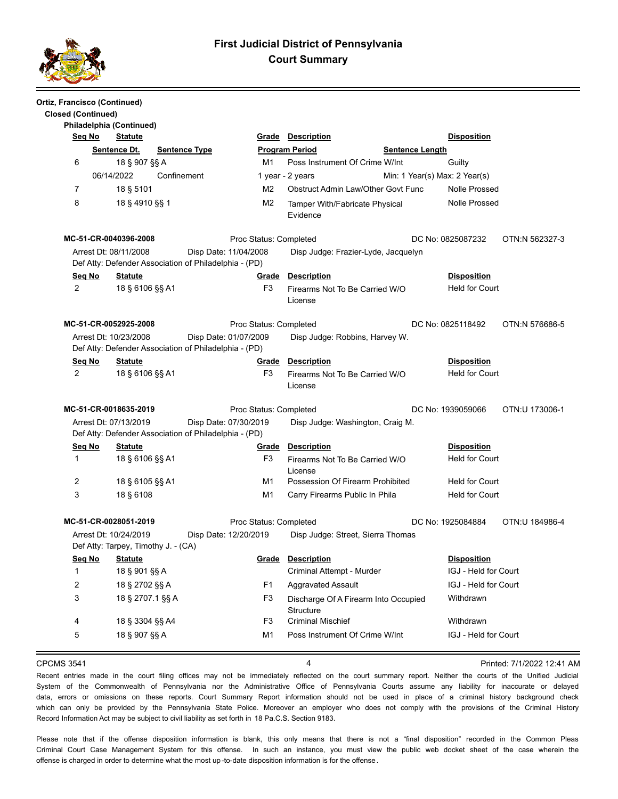

| Ortiz, Francisco (Continued) |            |                                                              |                      |                                                                                |                        |                                                          |                        |                               |                |
|------------------------------|------------|--------------------------------------------------------------|----------------------|--------------------------------------------------------------------------------|------------------------|----------------------------------------------------------|------------------------|-------------------------------|----------------|
| <b>Closed (Continued)</b>    |            |                                                              |                      |                                                                                |                        |                                                          |                        |                               |                |
|                              |            | Philadelphia (Continued)                                     |                      |                                                                                |                        |                                                          |                        |                               |                |
| Seq No                       |            | <b>Statute</b>                                               |                      |                                                                                | Grade                  | <b>Description</b>                                       |                        | <b>Disposition</b>            |                |
|                              |            | Sentence Dt.                                                 | <b>Sentence Type</b> |                                                                                |                        | <b>Program Period</b>                                    | <b>Sentence Length</b> |                               |                |
| 6                            |            | 18 § 907 §§ A                                                |                      |                                                                                | M1                     | Poss Instrument Of Crime W/Int                           |                        | Guilty                        |                |
|                              | 06/14/2022 |                                                              | Confinement          |                                                                                |                        | 1 year - 2 years                                         |                        | Min: 1 Year(s) Max: 2 Year(s) |                |
| $\overline{7}$               |            | 18 § 5101                                                    |                      |                                                                                | M <sub>2</sub>         | Obstruct Admin Law/Other Govt Func                       |                        | <b>Nolle Prossed</b>          |                |
| 8                            |            | 18 § 4910 §§ 1                                               |                      |                                                                                | M <sub>2</sub>         | Tamper With/Fabricate Physical<br>Evidence               |                        | <b>Nolle Prossed</b>          |                |
|                              |            | MC-51-CR-0040396-2008                                        |                      |                                                                                | Proc Status: Completed |                                                          |                        | DC No: 0825087232             | OTN:N 562327-3 |
|                              |            | Arrest Dt: 08/11/2008                                        |                      | Disp Date: 11/04/2008<br>Def Atty: Defender Association of Philadelphia - (PD) |                        | Disp Judge: Frazier-Lyde, Jacquelyn                      |                        |                               |                |
| <u>Seg No</u>                |            | <b>Statute</b>                                               |                      |                                                                                | <b>Grade</b>           | <b>Description</b>                                       |                        | <b>Disposition</b>            |                |
| 2                            |            | 18 § 6106 §§ A1                                              |                      |                                                                                | F <sub>3</sub>         | Firearms Not To Be Carried W/O<br>License                |                        | <b>Held for Court</b>         |                |
|                              |            | MC-51-CR-0052925-2008                                        |                      |                                                                                | Proc Status: Completed |                                                          |                        | DC No: 0825118492             | OTN:N 576686-5 |
|                              |            | Arrest Dt: 10/23/2008                                        |                      | Disp Date: 01/07/2009                                                          |                        | Disp Judge: Robbins, Harvey W.                           |                        |                               |                |
|                              |            |                                                              |                      | Def Atty: Defender Association of Philadelphia - (PD)                          |                        |                                                          |                        |                               |                |
| Seq No                       |            | <u>Statute</u>                                               |                      |                                                                                | Grade                  | <b>Description</b>                                       |                        | <b>Disposition</b>            |                |
| 2                            |            | 18 § 6106 §§ A1                                              |                      |                                                                                | F <sub>3</sub>         | Firearms Not To Be Carried W/O<br>License                |                        | <b>Held for Court</b>         |                |
|                              |            | MC-51-CR-0018635-2019                                        |                      |                                                                                | Proc Status: Completed |                                                          |                        | DC No: 1939059066             | OTN:U 173006-1 |
|                              |            | Arrest Dt: 07/13/2019                                        |                      | Disp Date: 07/30/2019<br>Def Atty: Defender Association of Philadelphia - (PD) |                        | Disp Judge: Washington, Craig M.                         |                        |                               |                |
| Seq No                       |            | <b>Statute</b>                                               |                      |                                                                                | Grade                  | <b>Description</b>                                       |                        | <b>Disposition</b>            |                |
| $\mathbf{1}$                 |            | 18 § 6106 §§ A1                                              |                      |                                                                                | F3                     | Firearms Not To Be Carried W/O<br>License                |                        | <b>Held for Court</b>         |                |
| 2                            |            | 18 § 6105 §§ A1                                              |                      |                                                                                | M1                     | Possession Of Firearm Prohibited                         |                        | <b>Held for Court</b>         |                |
| 3                            |            | 18 § 6108                                                    |                      |                                                                                | M1                     | Carry Firearms Public In Phila                           |                        | <b>Held for Court</b>         |                |
|                              |            | MC-51-CR-0028051-2019                                        |                      |                                                                                | Proc Status: Completed |                                                          |                        | DC No: 1925084884             | OTN:U 184986-4 |
|                              |            | Arrest Dt: 10/24/2019<br>Def Atty: Tarpey, Timothy J. - (CA) |                      | Disp Date: 12/20/2019                                                          |                        | Disp Judge: Street, Sierra Thomas                        |                        |                               |                |
| <u>Sea No</u>                |            | <u>Statute</u>                                               |                      |                                                                                | Grade                  | <b>Description</b>                                       |                        | <b>Disposition</b>            |                |
| 1                            |            | 18 § 901 §§ A                                                |                      |                                                                                |                        | Criminal Attempt - Murder                                |                        | IGJ - Held for Court          |                |
| 2                            |            | 18 § 2702 §§ A                                               |                      |                                                                                | F <sub>1</sub>         | <b>Aggravated Assault</b>                                |                        | IGJ - Held for Court          |                |
| 3                            |            | 18 § 2707.1 §§ A                                             |                      |                                                                                | F <sub>3</sub>         | Discharge Of A Firearm Into Occupied<br><b>Structure</b> |                        | Withdrawn                     |                |
| 4                            |            | 18 § 3304 §§ A4                                              |                      |                                                                                | F <sub>3</sub>         | <b>Criminal Mischief</b>                                 |                        | Withdrawn                     |                |
| 5                            |            | 18 § 907 §§ A                                                |                      |                                                                                | M1                     | Poss Instrument Of Crime W/Int                           |                        | IGJ - Held for Court          |                |
|                              |            |                                                              |                      |                                                                                |                        |                                                          |                        |                               |                |

CPCMS 3541 4 Printed: 7/1/2022 12:41 AM

Recent entries made in the court filing offices may not be immediately reflected on the court summary report. Neither the courts of the Unified Judicial System of the Commonwealth of Pennsylvania nor the Administrative Office of Pennsylvania Courts assume any liability for inaccurate or delayed data, errors or omissions on these reports. Court Summary Report information should not be used in place of a criminal history background check which can only be provided by the Pennsylvania State Police. Moreover an employer who does not comply with the provisions of the Criminal History Record Information Act may be subject to civil liability as set forth in 18 Pa.C.S. Section 9183.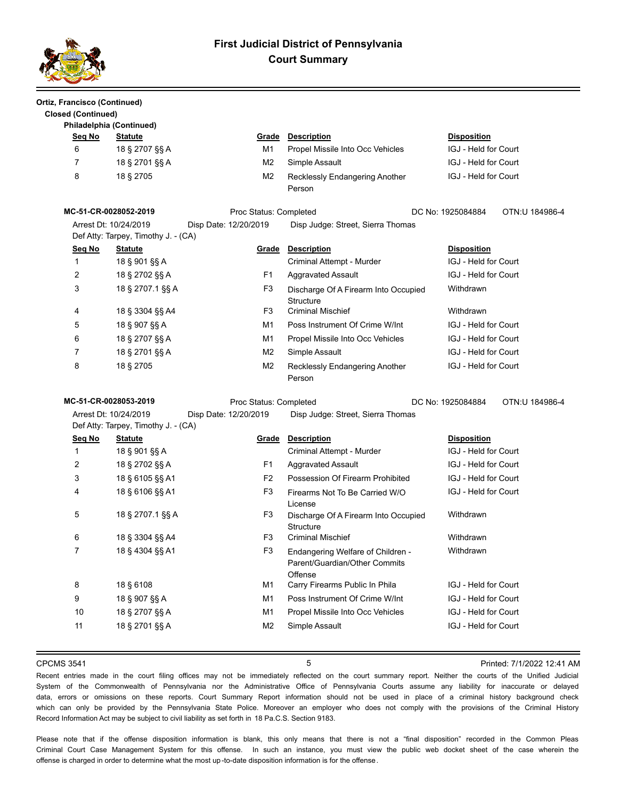

| Ortiz, Francisco (Continued)<br><b>Closed (Continued)</b> |                                                              |                        |                                                                               |                                     |
|-----------------------------------------------------------|--------------------------------------------------------------|------------------------|-------------------------------------------------------------------------------|-------------------------------------|
|                                                           | Philadelphia (Continued)                                     |                        |                                                                               |                                     |
| Seq No                                                    | <b>Statute</b>                                               |                        | <b>Grade Description</b>                                                      | <b>Disposition</b>                  |
| 6                                                         | 18 § 2707 §§ A                                               | M1                     | Propel Missile Into Occ Vehicles                                              | IGJ - Held for Court                |
| 7                                                         | 18 § 2701 §§ A                                               | M <sub>2</sub>         | Simple Assault                                                                | <b>IGJ - Held for Court</b>         |
| 8                                                         | 18 § 2705                                                    | M2                     | Recklessly Endangering Another<br>Person                                      | IGJ - Held for Court                |
|                                                           | MC-51-CR-0028052-2019                                        | Proc Status: Completed |                                                                               | DC No: 1925084884<br>OTN:U 184986-4 |
|                                                           | Arrest Dt: 10/24/2019<br>Def Atty: Tarpey, Timothy J. - (CA) | Disp Date: 12/20/2019  | Disp Judge: Street, Sierra Thomas                                             |                                     |
| Seg No                                                    | <b>Statute</b>                                               | <u>Grade</u>           | <b>Description</b>                                                            | <b>Disposition</b>                  |
| $\mathbf{1}$                                              | 18 § 901 §§ A                                                |                        | Criminal Attempt - Murder                                                     | IGJ - Held for Court                |
| 2                                                         | 18 § 2702 §§ A                                               | F1                     | <b>Aggravated Assault</b>                                                     | IGJ - Held for Court                |
| 3                                                         | 18 § 2707.1 §§ A                                             | F <sub>3</sub>         | Discharge Of A Firearm Into Occupied<br><b>Structure</b>                      | Withdrawn                           |
| 4                                                         | 18 § 3304 §§ A4                                              | F3                     | <b>Criminal Mischief</b>                                                      | Withdrawn                           |
| 5                                                         | 18 § 907 §§ A                                                | M1                     | Poss Instrument Of Crime W/Int                                                | IGJ - Held for Court                |
| 6                                                         | 18 § 2707 §§ A                                               | M1                     | Propel Missile Into Occ Vehicles                                              | IGJ - Held for Court                |
| 7                                                         | 18 § 2701 §§ A                                               | M2                     | Simple Assault                                                                | IGJ - Held for Court                |
| 8                                                         | 18 § 2705                                                    | M <sub>2</sub>         | Recklessly Endangering Another<br>Person                                      | IGJ - Held for Court                |
|                                                           | MC-51-CR-0028053-2019                                        | Proc Status: Completed |                                                                               | DC No: 1925084884<br>OTN:U 184986-4 |
|                                                           | Arrest Dt: 10/24/2019<br>Def Atty: Tarpey, Timothy J. - (CA) | Disp Date: 12/20/2019  | Disp Judge: Street, Sierra Thomas                                             |                                     |
| Seq No                                                    | <b>Statute</b>                                               | Grade                  | <b>Description</b>                                                            | <b>Disposition</b>                  |
| $\mathbf{1}$                                              | 18 § 901 §§ A                                                |                        | Criminal Attempt - Murder                                                     | IGJ - Held for Court                |
| 2                                                         | 18 § 2702 §§ A                                               | F1                     | <b>Aggravated Assault</b>                                                     | <b>IGJ - Held for Court</b>         |
| 3                                                         | 18 § 6105 §§ A1                                              | F <sub>2</sub>         | Possession Of Firearm Prohibited                                              | IGJ - Held for Court                |
| 4                                                         | 18 § 6106 §§ A1                                              | F3                     | Firearms Not To Be Carried W/O<br>License                                     | IGJ - Held for Court                |
| 5                                                         | 18 § 2707.1 §§ A                                             | F <sub>3</sub>         | Discharge Of A Firearm Into Occupied<br><b>Structure</b>                      | Withdrawn                           |
| 6                                                         | 18 § 3304 §§ A4                                              | F <sub>3</sub>         | <b>Criminal Mischief</b>                                                      | Withdrawn                           |
| 7                                                         | 18 § 4304 §§ A1                                              | F3                     | Endangering Welfare of Children -<br>Parent/Guardian/Other Commits<br>Offense | Withdrawn                           |
| 8                                                         | 18 § 6108                                                    | M1                     | Carry Firearms Public In Phila                                                | IGJ - Held for Court                |
| 9                                                         | 18 § 907 §§ A                                                | M <sub>1</sub>         | Poss Instrument Of Crime W/Int                                                | IGJ - Held for Court                |
| $10$                                                      | 18 § 2707 §§ A                                               | M1                     | Propel Missile Into Occ Vehicles                                              | IGJ - Held for Court                |
| 11                                                        | 18 § 2701 §§ A                                               | M <sub>2</sub>         | Simple Assault                                                                | IGJ - Held for Court                |

### CPCMS 3541 5 Printed: 7/1/2022 12:41 AM

Recent entries made in the court filing offices may not be immediately reflected on the court summary report. Neither the courts of the Unified Judicial System of the Commonwealth of Pennsylvania nor the Administrative Office of Pennsylvania Courts assume any liability for inaccurate or delayed data, errors or omissions on these reports. Court Summary Report information should not be used in place of a criminal history background check which can only be provided by the Pennsylvania State Police. Moreover an employer who does not comply with the provisions of the Criminal History Record Information Act may be subject to civil liability as set forth in 18 Pa.C.S. Section 9183.